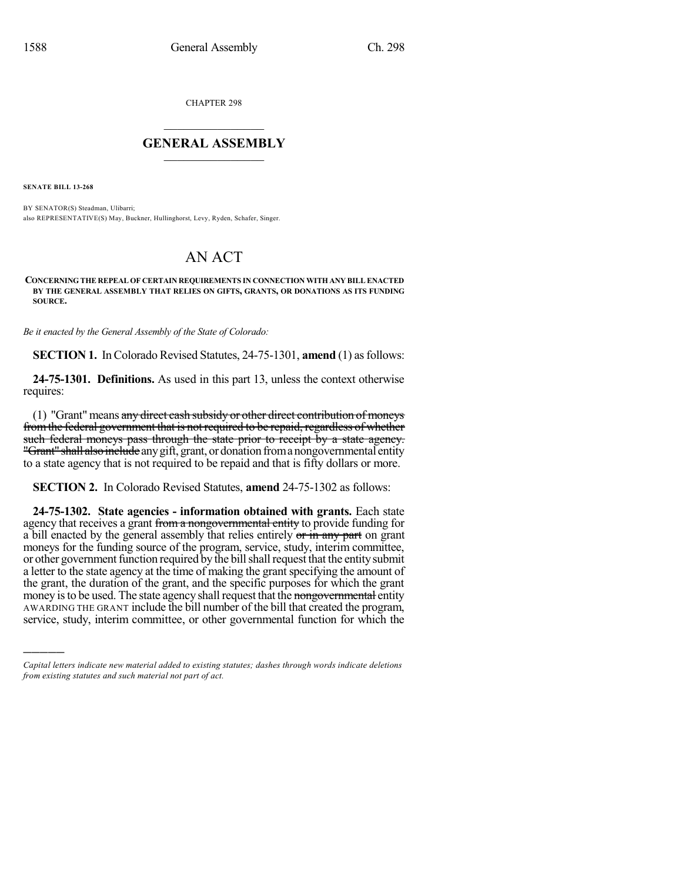CHAPTER 298

## $\overline{\phantom{a}}$  . The set of the set of the set of the set of the set of the set of the set of the set of the set of the set of the set of the set of the set of the set of the set of the set of the set of the set of the set o **GENERAL ASSEMBLY**  $\frac{1}{\sqrt{2}}$  . The set of  $\frac{1}{\sqrt{2}}$

**SENATE BILL 13-268**

)))))

BY SENATOR(S) Steadman, Ulibarri; also REPRESENTATIVE(S) May, Buckner, Hullinghorst, Levy, Ryden, Schafer, Singer.

## AN ACT

**CONCERNING THE REPEAL OF CERTAIN REQUIREMENTS IN CONNECTION WITH ANY BILL ENACTED BY THE GENERAL ASSEMBLY THAT RELIES ON GIFTS, GRANTS, OR DONATIONS AS ITS FUNDING SOURCE.**

*Be it enacted by the General Assembly of the State of Colorado:*

**SECTION 1.** In Colorado Revised Statutes, 24-75-1301, **amend** (1) as follows:

**24-75-1301. Definitions.** As used in this part 13, unless the context otherwise requires:

(1) "Grant" means  $\frac{any \text{ direct cash subsidy or other direct contribution of moneys}}{}$ fromthe federal government that is not required to be repaid, regardless of whether such federal moneys pass through the state prior to receipt by a state agency. "Grant" shall also include any gift, grant, or donation from a nongovernmental entity to a state agency that is not required to be repaid and that is fifty dollars or more.

**SECTION 2.** In Colorado Revised Statutes, **amend** 24-75-1302 as follows:

**24-75-1302. State agencies - information obtained with grants.** Each state agency that receives a grant from a nongovernmental entity to provide funding for a bill enacted by the general assembly that relies entirely or in any part on grant moneys for the funding source of the program, service, study, interim committee, or other government function required by the bill shall request that the entity submit a letter to the state agency at the time of making the grant specifying the amount of the grant, the duration of the grant, and the specific purposes for which the grant money is to be used. The state agency shall request that the nongovernmental entity AWARDING THE GRANT include the bill number of the bill that created the program, service, study, interim committee, or other governmental function for which the

*Capital letters indicate new material added to existing statutes; dashes through words indicate deletions from existing statutes and such material not part of act.*